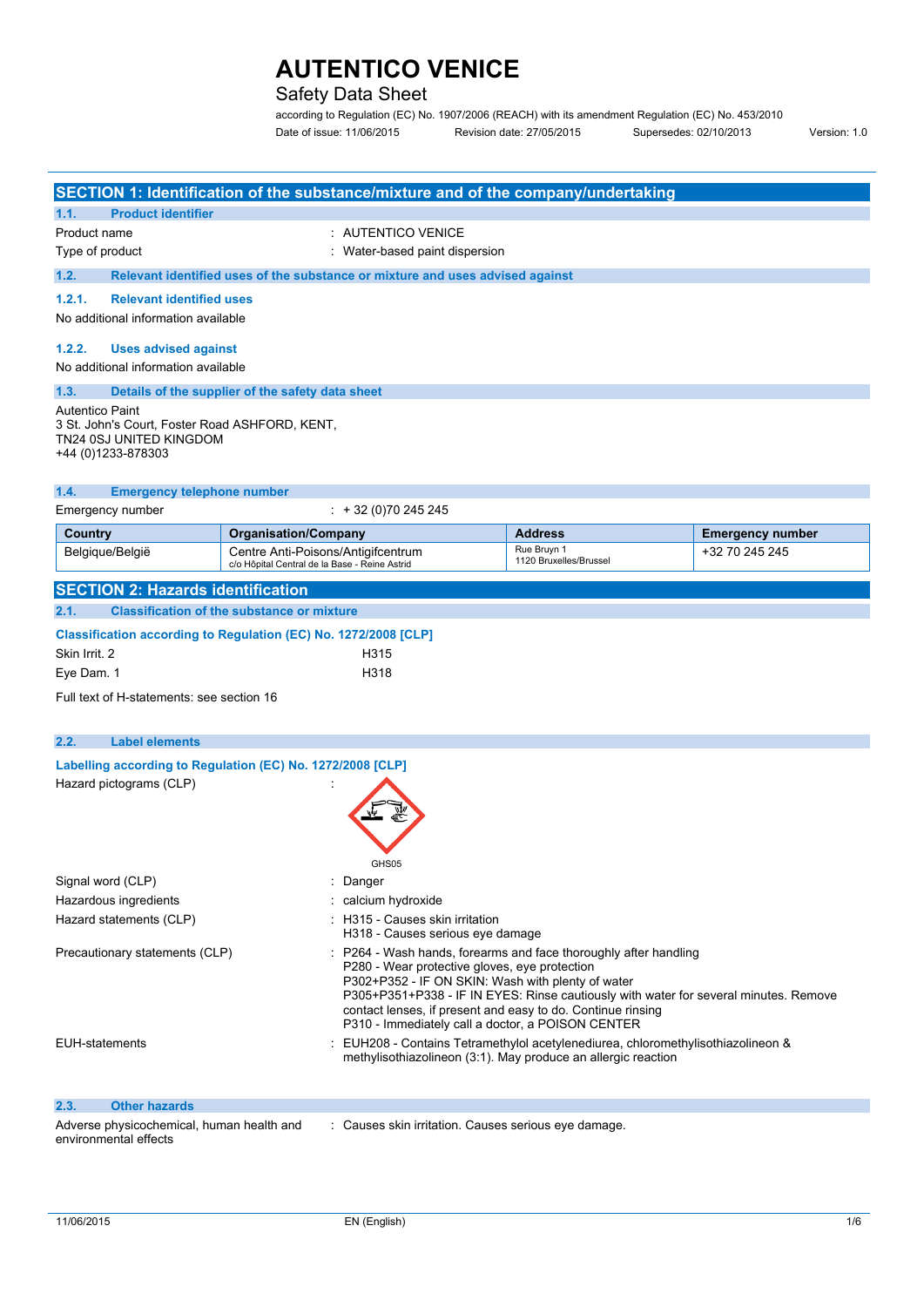## Safety Data Sheet

according to Regulation (EC) No. 1907/2006 (REACH) with its amendment Regulation (EC) No. 453/2010 Date of issue: 11/06/2015 Revision date: 27/05/2015 Supersedes: 02/10/2013 Version: 1.0

|                                                                                                                           |                                                                               |                                                                                                                                                                                                                                                                                                                                                                                    | SECTION 1: Identification of the substance/mixture and of the company/undertaking |                                       |                         |  |  |
|---------------------------------------------------------------------------------------------------------------------------|-------------------------------------------------------------------------------|------------------------------------------------------------------------------------------------------------------------------------------------------------------------------------------------------------------------------------------------------------------------------------------------------------------------------------------------------------------------------------|-----------------------------------------------------------------------------------|---------------------------------------|-------------------------|--|--|
| 1.1.<br><b>Product identifier</b>                                                                                         |                                                                               |                                                                                                                                                                                                                                                                                                                                                                                    |                                                                                   |                                       |                         |  |  |
| Product name                                                                                                              |                                                                               | : AUTENTICO VENICE                                                                                                                                                                                                                                                                                                                                                                 |                                                                                   |                                       |                         |  |  |
| Type of product                                                                                                           |                                                                               | : Water-based paint dispersion                                                                                                                                                                                                                                                                                                                                                     |                                                                                   |                                       |                         |  |  |
| 1.2.                                                                                                                      | Relevant identified uses of the substance or mixture and uses advised against |                                                                                                                                                                                                                                                                                                                                                                                    |                                                                                   |                                       |                         |  |  |
| <b>Relevant identified uses</b><br>1.2.1.                                                                                 |                                                                               |                                                                                                                                                                                                                                                                                                                                                                                    |                                                                                   |                                       |                         |  |  |
| No additional information available                                                                                       |                                                                               |                                                                                                                                                                                                                                                                                                                                                                                    |                                                                                   |                                       |                         |  |  |
|                                                                                                                           |                                                                               |                                                                                                                                                                                                                                                                                                                                                                                    |                                                                                   |                                       |                         |  |  |
| 1.2.2.<br><b>Uses advised against</b>                                                                                     |                                                                               |                                                                                                                                                                                                                                                                                                                                                                                    |                                                                                   |                                       |                         |  |  |
| No additional information available                                                                                       |                                                                               |                                                                                                                                                                                                                                                                                                                                                                                    |                                                                                   |                                       |                         |  |  |
| 1.3.                                                                                                                      |                                                                               | Details of the supplier of the safety data sheet                                                                                                                                                                                                                                                                                                                                   |                                                                                   |                                       |                         |  |  |
| <b>Autentico Paint</b><br>3 St. John's Court, Foster Road ASHFORD, KENT,<br>TN24 0SJ UNITED KINGDOM<br>+44 (0)1233-878303 |                                                                               |                                                                                                                                                                                                                                                                                                                                                                                    |                                                                                   |                                       |                         |  |  |
| 1.4.                                                                                                                      |                                                                               | <b>Emergency telephone number</b>                                                                                                                                                                                                                                                                                                                                                  |                                                                                   |                                       |                         |  |  |
| Emergency number                                                                                                          |                                                                               |                                                                                                                                                                                                                                                                                                                                                                                    | $\div$ + 32 (0)70 245 245                                                         |                                       |                         |  |  |
| <b>Country</b>                                                                                                            |                                                                               | <b>Organisation/Company</b>                                                                                                                                                                                                                                                                                                                                                        |                                                                                   | <b>Address</b>                        | <b>Emergency number</b> |  |  |
| Belgique/België                                                                                                           |                                                                               | Centre Anti-Poisons/Antigifcentrum                                                                                                                                                                                                                                                                                                                                                 |                                                                                   | Rue Bruyn 1<br>1120 Bruxelles/Brussel | +32 70 245 245          |  |  |
|                                                                                                                           |                                                                               | c/o Hôpital Central de la Base - Reine Astrid                                                                                                                                                                                                                                                                                                                                      |                                                                                   |                                       |                         |  |  |
| <b>SECTION 2: Hazards identification</b>                                                                                  |                                                                               |                                                                                                                                                                                                                                                                                                                                                                                    |                                                                                   |                                       |                         |  |  |
| 2.1.                                                                                                                      |                                                                               | <b>Classification of the substance or mixture</b>                                                                                                                                                                                                                                                                                                                                  |                                                                                   |                                       |                         |  |  |
| Classification according to Regulation (EC) No. 1272/2008 [CLP]                                                           |                                                                               |                                                                                                                                                                                                                                                                                                                                                                                    |                                                                                   |                                       |                         |  |  |
| Skin Irrit, 2                                                                                                             |                                                                               |                                                                                                                                                                                                                                                                                                                                                                                    | H315                                                                              |                                       |                         |  |  |
| Eye Dam. 1                                                                                                                |                                                                               |                                                                                                                                                                                                                                                                                                                                                                                    | H318                                                                              |                                       |                         |  |  |
| Full text of H-statements: see section 16                                                                                 |                                                                               |                                                                                                                                                                                                                                                                                                                                                                                    |                                                                                   |                                       |                         |  |  |
| 2.2.<br><b>Label elements</b>                                                                                             |                                                                               |                                                                                                                                                                                                                                                                                                                                                                                    |                                                                                   |                                       |                         |  |  |
| Labelling according to Regulation (EC) No. 1272/2008 [CLP]                                                                |                                                                               |                                                                                                                                                                                                                                                                                                                                                                                    |                                                                                   |                                       |                         |  |  |
| Hazard pictograms (CLP)                                                                                                   |                                                                               |                                                                                                                                                                                                                                                                                                                                                                                    |                                                                                   |                                       |                         |  |  |
|                                                                                                                           |                                                                               |                                                                                                                                                                                                                                                                                                                                                                                    | GHS05                                                                             |                                       |                         |  |  |
| Signal word (CLP)                                                                                                         |                                                                               |                                                                                                                                                                                                                                                                                                                                                                                    | Danger                                                                            |                                       |                         |  |  |
| Hazardous ingredients                                                                                                     |                                                                               |                                                                                                                                                                                                                                                                                                                                                                                    | calcium hydroxide                                                                 |                                       |                         |  |  |
| Hazard statements (CLP)                                                                                                   |                                                                               |                                                                                                                                                                                                                                                                                                                                                                                    | : H315 - Causes skin irritation<br>H318 - Causes serious eye damage               |                                       |                         |  |  |
| Precautionary statements (CLP)                                                                                            |                                                                               | : P264 - Wash hands, forearms and face thoroughly after handling<br>P280 - Wear protective gloves, eye protection<br>P302+P352 - IF ON SKIN: Wash with plenty of water<br>P305+P351+P338 - IF IN EYES: Rinse cautiously with water for several minutes. Remove<br>contact lenses, if present and easy to do. Continue rinsing<br>P310 - Immediately call a doctor, a POISON CENTER |                                                                                   |                                       |                         |  |  |
| <b>EUH-statements</b>                                                                                                     |                                                                               | EUH208 - Contains Tetramethylol acetylenediurea, chloromethylisothiazolineon &<br>methylisothiazolineon (3:1). May produce an allergic reaction                                                                                                                                                                                                                                    |                                                                                   |                                       |                         |  |  |
| 2.3.<br><b>Other hazards</b>                                                                                              |                                                                               |                                                                                                                                                                                                                                                                                                                                                                                    |                                                                                   |                                       |                         |  |  |
| Adverse physicochemical, human health and<br>environmental effects                                                        |                                                                               |                                                                                                                                                                                                                                                                                                                                                                                    | : Causes skin irritation. Causes serious eye damage.                              |                                       |                         |  |  |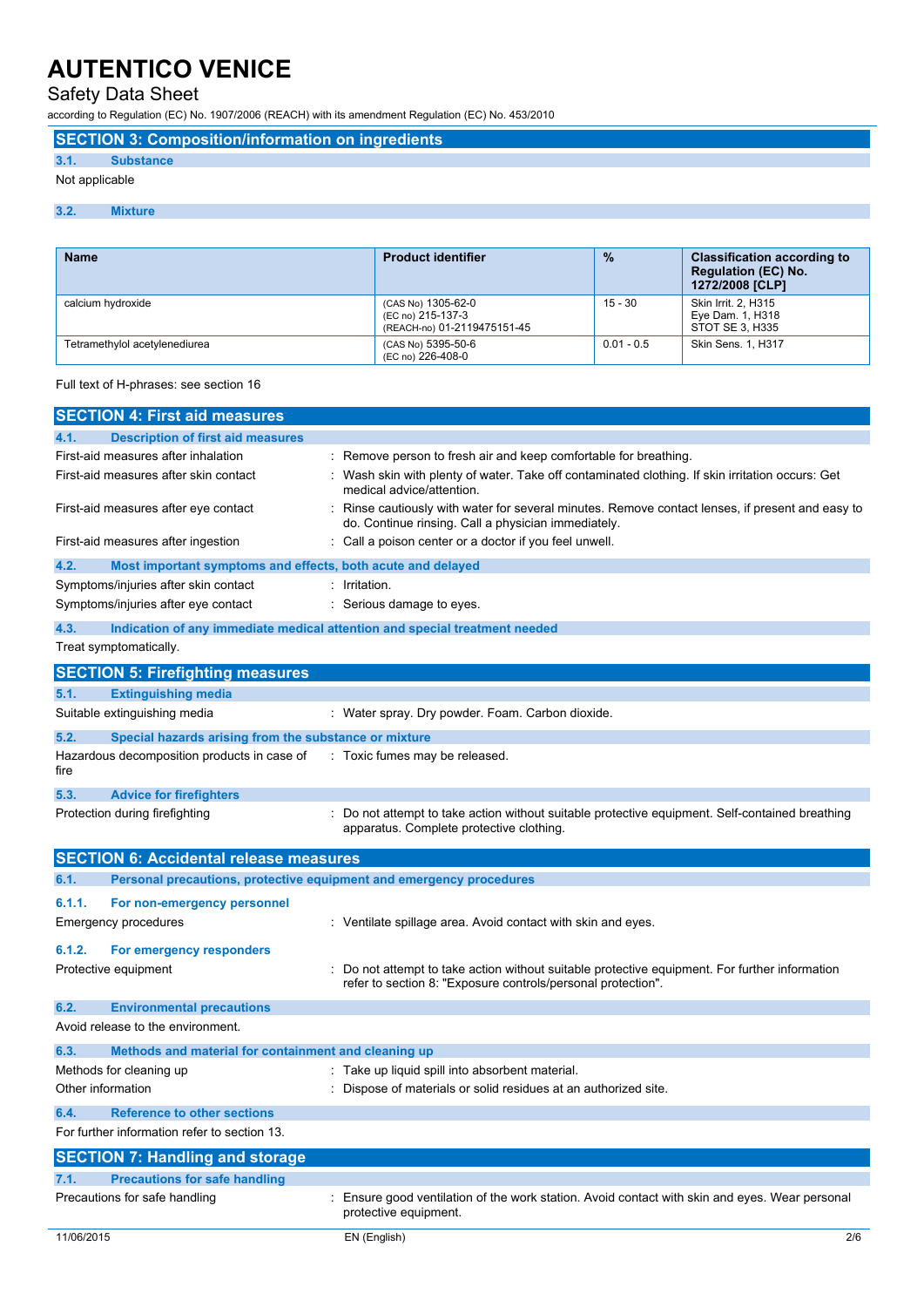## Safety Data Sheet

according to Regulation (EC) No. 1907/2006 (REACH) with its amendment Regulation (EC) No. 453/2010

#### **SECTION 3: Composition/information on ingredients**

### **3.1. Substance**

#### Not applicable

#### **3.2. Mixture**

| <b>Name</b>                   | <b>Product identifier</b>                                              | $\frac{9}{6}$ | <b>Classification according to</b><br><b>Regulation (EC) No.</b><br>1272/2008 [CLP] |
|-------------------------------|------------------------------------------------------------------------|---------------|-------------------------------------------------------------------------------------|
| calcium hydroxide             | (CAS No) 1305-62-0<br>(EC no) 215-137-3<br>(REACH-no) 01-2119475151-45 | $15 - 30$     | Skin Irrit. 2. H315<br>Eye Dam. 1, H318<br>STOT SE 3, H335                          |
| Tetramethylol acetylenediurea | (CAS No) 5395-50-6<br>(EC no) 226-408-0                                | $0.01 - 0.5$  | <b>Skin Sens. 1. H317</b>                                                           |

#### Full text of H-phrases: see section 16

| <b>SECTION 4: First aid measures</b>                          |                                                                                                                                                              |
|---------------------------------------------------------------|--------------------------------------------------------------------------------------------------------------------------------------------------------------|
| <b>Description of first aid measures</b><br>4.1.              |                                                                                                                                                              |
| First-aid measures after inhalation                           | Remove person to fresh air and keep comfortable for breathing.                                                                                               |
| First-aid measures after skin contact                         | Wash skin with plenty of water. Take off contaminated clothing. If skin irritation occurs: Get<br>medical advice/attention.                                  |
| First-aid measures after eye contact                          | Rinse cautiously with water for several minutes. Remove contact lenses, if present and easy to<br>do. Continue rinsing. Call a physician immediately.        |
| First-aid measures after ingestion                            | Call a poison center or a doctor if you feel unwell.                                                                                                         |
| 4.2.                                                          | Most important symptoms and effects, both acute and delayed                                                                                                  |
| Symptoms/injuries after skin contact                          | : Irritation.                                                                                                                                                |
| Symptoms/injuries after eye contact                           | : Serious damage to eyes.                                                                                                                                    |
| 4.3.                                                          | Indication of any immediate medical attention and special treatment needed                                                                                   |
| Treat symptomatically.                                        |                                                                                                                                                              |
| <b>SECTION 5: Firefighting measures</b>                       |                                                                                                                                                              |
| <b>Extinguishing media</b><br>5.1.                            |                                                                                                                                                              |
| Suitable extinguishing media                                  | : Water spray. Dry powder. Foam. Carbon dioxide.                                                                                                             |
| 5.2.<br>Special hazards arising from the substance or mixture |                                                                                                                                                              |
| Hazardous decomposition products in case of<br>fire           | : Toxic fumes may be released.                                                                                                                               |
| 5.3.<br><b>Advice for firefighters</b>                        |                                                                                                                                                              |
| Protection during firefighting                                | Do not attempt to take action without suitable protective equipment. Self-contained breathing<br>apparatus. Complete protective clothing.                    |
| <b>SECTION 6: Accidental release measures</b>                 |                                                                                                                                                              |
| 6.1.                                                          | Personal precautions, protective equipment and emergency procedures                                                                                          |
| 6.1.1.<br>For non-emergency personnel                         |                                                                                                                                                              |
| <b>Emergency procedures</b>                                   | : Ventilate spillage area. Avoid contact with skin and eyes.                                                                                                 |
| 6.1.2.<br>For emergency responders                            |                                                                                                                                                              |
| Protective equipment                                          | Do not attempt to take action without suitable protective equipment. For further information<br>refer to section 8: "Exposure controls/personal protection". |
| 6.2.<br><b>Environmental precautions</b>                      |                                                                                                                                                              |
| Avoid release to the environment.                             |                                                                                                                                                              |
| Methods and material for containment and cleaning up<br>6.3.  |                                                                                                                                                              |
| Methods for cleaning up                                       | : Take up liquid spill into absorbent material.                                                                                                              |
| Other information                                             | : Dispose of materials or solid residues at an authorized site.                                                                                              |
| 6.4.<br><b>Reference to other sections</b>                    |                                                                                                                                                              |
| For further information refer to section 13.                  |                                                                                                                                                              |
| <b>SECTION 7: Handling and storage</b>                        |                                                                                                                                                              |
| <b>Precautions for safe handling</b><br>7.1.                  |                                                                                                                                                              |
| Precautions for safe handling                                 | Ensure good ventilation of the work station. Avoid contact with skin and eyes. Wear personal<br>protective equipment.                                        |
| 11/06/2015                                                    | EN (English)<br>2/6                                                                                                                                          |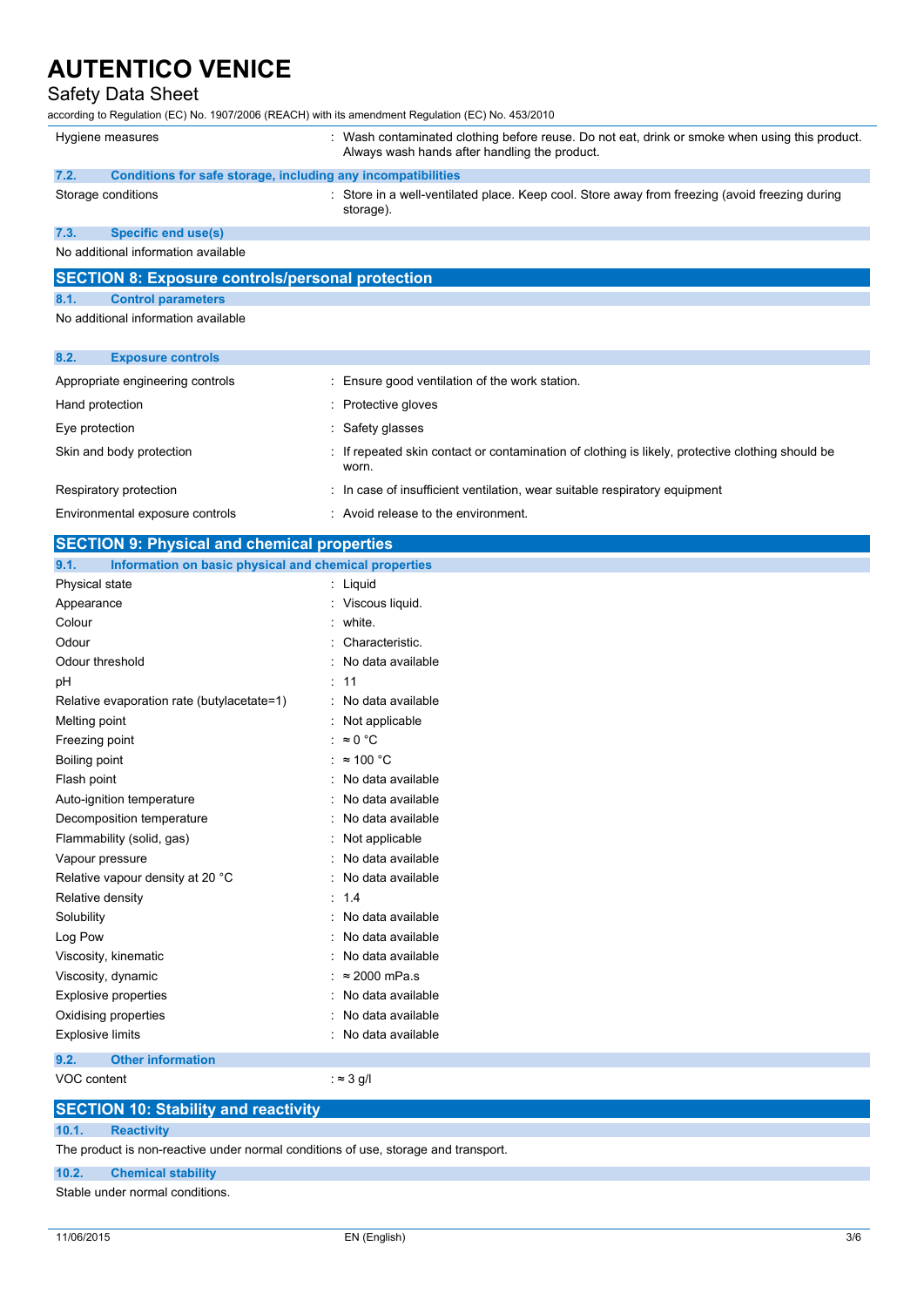### Safety Data Sheet

according to Regulation (EC) No. 1907/2006 (REACH) with its amendment Regulation (EC) No. 453/2010

| Hygiene measures | : Wash conta<br>Always was |
|------------------|----------------------------|
|                  |                            |

aminated clothing before reuse. Do not eat, drink or smoke when using this product. sh hands after handling the product.

- **7.2. Conditions for safe storage, including any incompatibilities**
- 
- Storage conditions **Store in a well-ventilated place.** Keep cool. Store away from freezing (avoid freezing during storage).

#### **7.3. Specific end use(s)**

No additional information available

## **SECTION 8: Exposure controls/personal protection**

### **8.1. Control parameters**

No additional information available

| 8.2.<br><b>Exposure controls</b> |                                                                                                           |
|----------------------------------|-----------------------------------------------------------------------------------------------------------|
| Appropriate engineering controls | : Ensure good ventilation of the work station.                                                            |
| Hand protection                  | : Protective gloves                                                                                       |
| Eye protection                   | : Safety glasses                                                                                          |
| Skin and body protection         | : If repeated skin contact or contamination of clothing is likely, protective clothing should be<br>worn. |
| Respiratory protection           | : In case of insufficient ventilation, wear suitable respiratory equipment                                |
| Environmental exposure controls  | : Avoid release to the environment.                                                                       |
|                                  |                                                                                                           |

| <b>SECTION 9: Physical and chemical properties</b>            |                        |  |  |  |
|---------------------------------------------------------------|------------------------|--|--|--|
| Information on basic physical and chemical properties<br>9.1. |                        |  |  |  |
| Physical state                                                | : Liquid               |  |  |  |
| Appearance                                                    | Viscous liquid.        |  |  |  |
| Colour                                                        | white.                 |  |  |  |
| Odour                                                         | Characteristic.        |  |  |  |
| Odour threshold                                               | No data available      |  |  |  |
| рH                                                            | 11                     |  |  |  |
| Relative evaporation rate (butylacetate=1)                    | No data available      |  |  |  |
| Melting point                                                 | : Not applicable       |  |  |  |
| Freezing point                                                | $\approx$ 0 °C         |  |  |  |
| Boiling point                                                 | $\approx$ 100 °C       |  |  |  |
| Flash point                                                   | No data available      |  |  |  |
| Auto-ignition temperature                                     | No data available      |  |  |  |
| Decomposition temperature                                     | No data available      |  |  |  |
| Flammability (solid, gas)                                     | Not applicable         |  |  |  |
| Vapour pressure                                               | No data available      |  |  |  |
| Relative vapour density at 20 °C                              | No data available      |  |  |  |
| Relative density                                              | 1.4<br>÷.              |  |  |  |
| Solubility                                                    | No data available<br>٠ |  |  |  |
| Log Pow                                                       | No data available      |  |  |  |
| Viscosity, kinematic                                          | No data available      |  |  |  |
| Viscosity, dynamic                                            | $\approx$ 2000 mPa.s   |  |  |  |
| <b>Explosive properties</b>                                   | No data available      |  |  |  |
| Oxidising properties                                          | No data available      |  |  |  |
| <b>Explosive limits</b>                                       | No data available      |  |  |  |
| <b>Other information</b><br>9.2.                              |                        |  |  |  |
| VOC content                                                   | : $\approx$ 3 g/l      |  |  |  |

#### **SECTION 10: Stability and reactivity**

**10.1. Reactivity**

The product is non-reactive under normal conditions of use, storage and transport.

#### **10.2. Chemical stability**

Stable under normal conditions.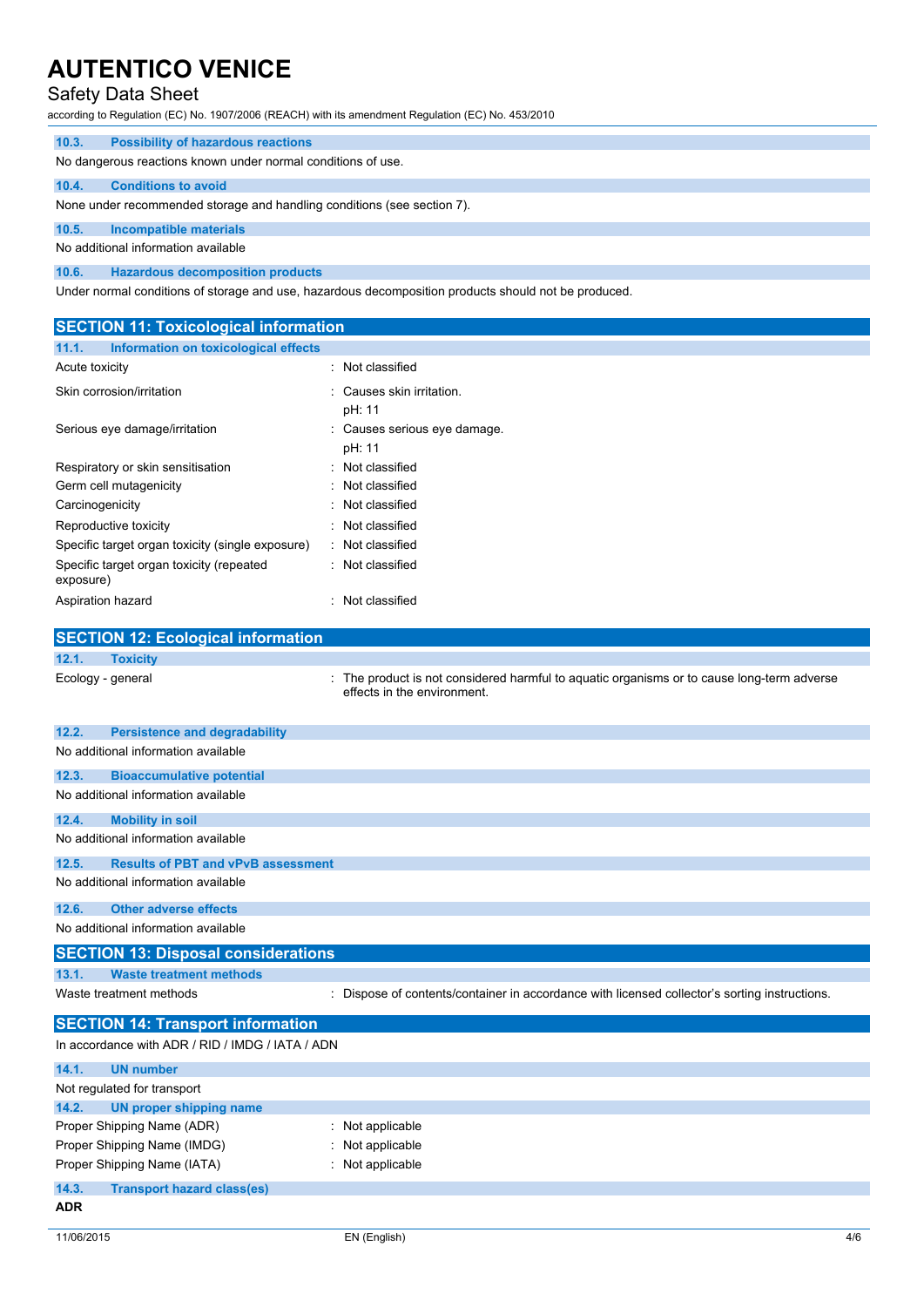#### Safety Data Sheet

according to Regulation (EC) No. 1907/2006 (REACH) with its amendment Regulation (EC) No. 453/2010

| 10.3.                                                                   | <b>Possibility of hazardous reactions</b>                                                            |  |  |  |  |
|-------------------------------------------------------------------------|------------------------------------------------------------------------------------------------------|--|--|--|--|
|                                                                         | No dangerous reactions known under normal conditions of use.                                         |  |  |  |  |
| 10.4.                                                                   | <b>Conditions to avoid</b>                                                                           |  |  |  |  |
| None under recommended storage and handling conditions (see section 7). |                                                                                                      |  |  |  |  |
| 10.5.                                                                   | Incompatible materials                                                                               |  |  |  |  |
| No additional information available                                     |                                                                                                      |  |  |  |  |
| 10.6.                                                                   | <b>Hazardous decomposition products</b>                                                              |  |  |  |  |
|                                                                         | Under normal conditions of storage and use, hazardous decomposition products should not be produced. |  |  |  |  |

**SECTION 11: Toxicological information 11.1. Information on toxicological effects** Acute toxicity **in the case of the Case of the Case of the Case of the Case of the Case of the Case of the Case of the Case of the Case of the Case of the Case of the Case of the Case of the Case of the Case of the Case of** Skin corrosion/irritation **intervalse and the Causes skin irritation**. pH: 11 Serious eye damage/irritation : Causes serious eye damage. pH: 11 Respiratory or skin sensitisation : Not classified Germ cell mutagenicity in the same state of the Second Second Second Second Second Second Second Second Second S Carcinogenicity **Example 2018** 2019 12: Not classified Reproductive toxicity in the set of the Reproductive toxicity in the set of the Reproductive to  $\mathbf{R}$ : Not classified Specific target organ toxicity (single exposure) : Not classified Specific target organ toxicity (repeated exposure) : Not classified Aspiration hazard in the set of the set of the Spiration hazard in the set of the set of the set of the set of the set of the set of the set of the set of the set of the set of the set of the set of the set of the set of t **SECTION 12: Ecological information 12.1. Toxicity** Ecology - general interest in the product is not considered harmful to aquatic organisms or to cause long-term adverse effects in the environment. **12.2. Persistence and degradability** No additional information available **12.3. Bioaccumulative potential** No additional information available **12.4. Mobility in soil** No additional information available **12.5. Results of PBT and vPvB assessment**

No additional information available

#### **12.6. Other adverse effects**

No additional information available

#### **SECTION 13: Disposal considerations 13.1. Waste treatment methods**

Waste treatment methods : Dispose of contents/container in accordance with licensed collector's sorting instructions.

| <b>SECTION 14: Transport information</b>         |                    |  |  |  |  |
|--------------------------------------------------|--------------------|--|--|--|--|
| In accordance with ADR / RID / IMDG / IATA / ADN |                    |  |  |  |  |
| 14.1.<br><b>UN number</b>                        |                    |  |  |  |  |
| Not regulated for transport                      |                    |  |  |  |  |
| 14.2.<br>UN proper shipping name                 |                    |  |  |  |  |
| Proper Shipping Name (ADR)                       | $:$ Not applicable |  |  |  |  |
| Proper Shipping Name (IMDG)                      | : Not applicable   |  |  |  |  |
| Proper Shipping Name (IATA)                      | : Not applicable   |  |  |  |  |
| 14.3.<br><b>Transport hazard class(es)</b>       |                    |  |  |  |  |
| <b>ADR</b>                                       |                    |  |  |  |  |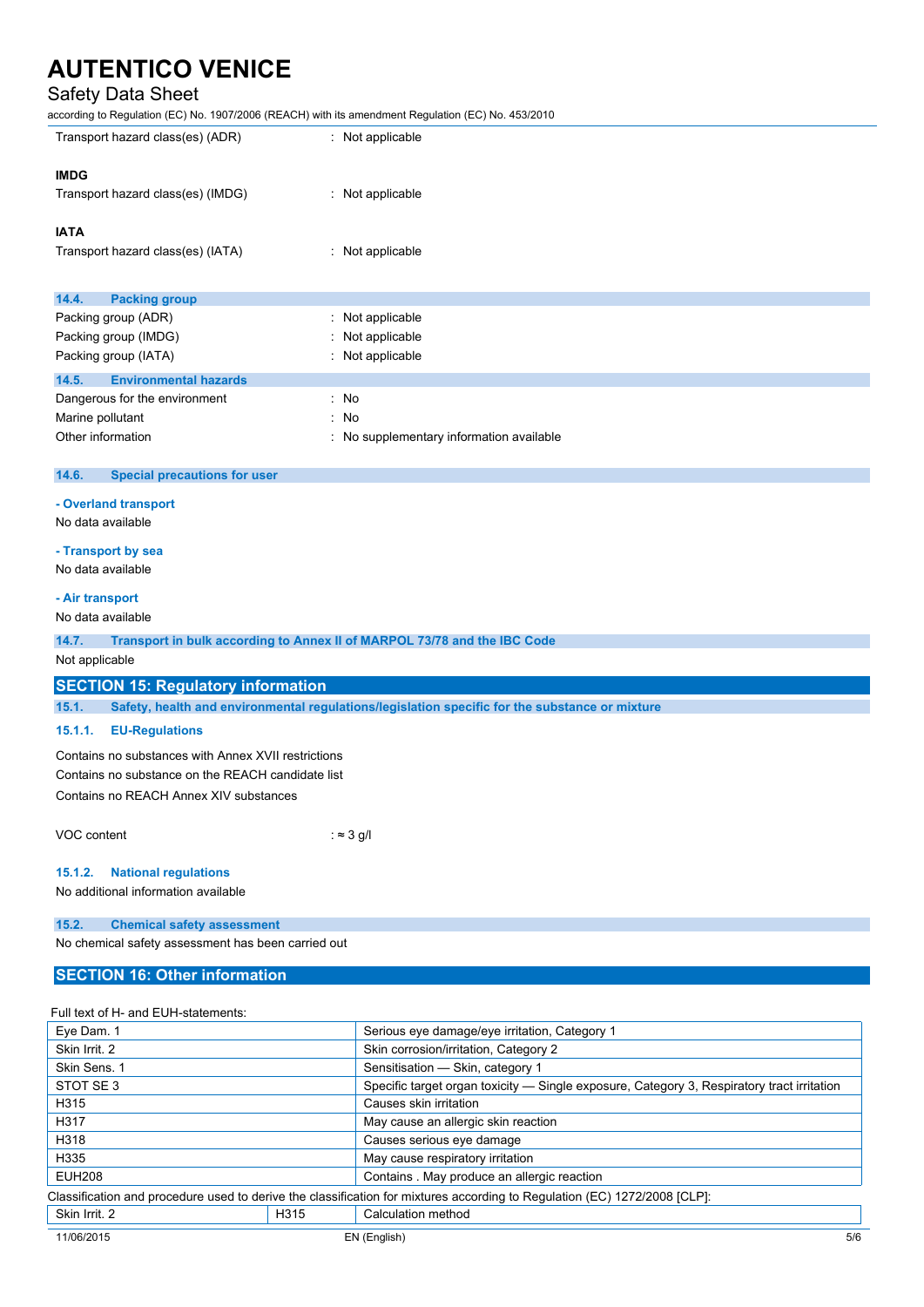## Safety Data Sheet

according to Regulation (EC) No. 1907/2006 (REACH) with its amendment Regulation (EC) No. 453/2010

| Transport hazard class(es) (ADR)                                                  | : Not applicable                                                                               |  |  |  |
|-----------------------------------------------------------------------------------|------------------------------------------------------------------------------------------------|--|--|--|
|                                                                                   |                                                                                                |  |  |  |
| <b>IMDG</b>                                                                       |                                                                                                |  |  |  |
| Transport hazard class(es) (IMDG)                                                 | : Not applicable                                                                               |  |  |  |
| <b>IATA</b>                                                                       |                                                                                                |  |  |  |
| Transport hazard class(es) (IATA)                                                 | : Not applicable                                                                               |  |  |  |
| 14.4.<br><b>Packing group</b>                                                     |                                                                                                |  |  |  |
|                                                                                   |                                                                                                |  |  |  |
| Packing group (ADR)                                                               | Not applicable                                                                                 |  |  |  |
| Packing group (IMDG)                                                              | Not applicable                                                                                 |  |  |  |
| Packing group (IATA)                                                              | Not applicable                                                                                 |  |  |  |
| <b>Environmental hazards</b><br>14.5.                                             |                                                                                                |  |  |  |
| Dangerous for the environment                                                     | No<br>t                                                                                        |  |  |  |
| Marine pollutant                                                                  | No                                                                                             |  |  |  |
| Other information                                                                 | No supplementary information available                                                         |  |  |  |
|                                                                                   |                                                                                                |  |  |  |
| 14.6.<br><b>Special precautions for user</b>                                      |                                                                                                |  |  |  |
| - Overland transport                                                              |                                                                                                |  |  |  |
| No data available                                                                 |                                                                                                |  |  |  |
|                                                                                   |                                                                                                |  |  |  |
| - Transport by sea                                                                |                                                                                                |  |  |  |
| No data available                                                                 |                                                                                                |  |  |  |
| - Air transport                                                                   |                                                                                                |  |  |  |
| No data available                                                                 |                                                                                                |  |  |  |
|                                                                                   |                                                                                                |  |  |  |
| 14.7.<br>Transport in bulk according to Annex II of MARPOL 73/78 and the IBC Code |                                                                                                |  |  |  |
| Not applicable                                                                    |                                                                                                |  |  |  |
| <b>SECTION 15: Regulatory information</b>                                         |                                                                                                |  |  |  |
| 15.1.                                                                             | Safety, health and environmental regulations/legislation specific for the substance or mixture |  |  |  |
| <b>EU-Regulations</b><br>15.1.1.                                                  |                                                                                                |  |  |  |
| Contains no substances with Annex XVII restrictions                               |                                                                                                |  |  |  |
| Contains no substance on the REACH candidate list                                 |                                                                                                |  |  |  |
| Contains no REACH Annex XIV substances                                            |                                                                                                |  |  |  |
|                                                                                   |                                                                                                |  |  |  |
| VOC content                                                                       | : $\approx$ 3 g/l                                                                              |  |  |  |
| <b>National regulations</b><br>15.1.2.                                            |                                                                                                |  |  |  |
| No additional information available                                               |                                                                                                |  |  |  |
|                                                                                   |                                                                                                |  |  |  |
| 15.2.<br><b>Chemical safety assessment</b>                                        |                                                                                                |  |  |  |
| No chemical safety assessment has been carried out                                |                                                                                                |  |  |  |
| <b>SECTION 16: Other information</b>                                              |                                                                                                |  |  |  |
|                                                                                   |                                                                                                |  |  |  |

#### Full text of H- and EUH-statements:

| Eye Dam. 1                                                                                                                |      | Serious eye damage/eye irritation, Category 1                                              |     |  |
|---------------------------------------------------------------------------------------------------------------------------|------|--------------------------------------------------------------------------------------------|-----|--|
| Skin Irrit. 2                                                                                                             |      | Skin corrosion/irritation, Category 2                                                      |     |  |
| Skin Sens. 1                                                                                                              |      | Sensitisation - Skin, category 1                                                           |     |  |
| STOT SE3                                                                                                                  |      | Specific target organ toxicity — Single exposure, Category 3, Respiratory tract irritation |     |  |
| H315                                                                                                                      |      | Causes skin irritation                                                                     |     |  |
| H317                                                                                                                      |      | May cause an allergic skin reaction                                                        |     |  |
| H318                                                                                                                      |      | Causes serious eye damage                                                                  |     |  |
| H335                                                                                                                      |      | May cause respiratory irritation                                                           |     |  |
| <b>EUH208</b>                                                                                                             |      | Contains . May produce an allergic reaction                                                |     |  |
| Classification and procedure used to derive the classification for mixtures according to Regulation (EC) 1272/2008 [CLP]: |      |                                                                                            |     |  |
| Skin Irrit. 2                                                                                                             | H315 | Calculation method                                                                         |     |  |
| 11/06/2015                                                                                                                |      | EN (English)                                                                               | 5/6 |  |